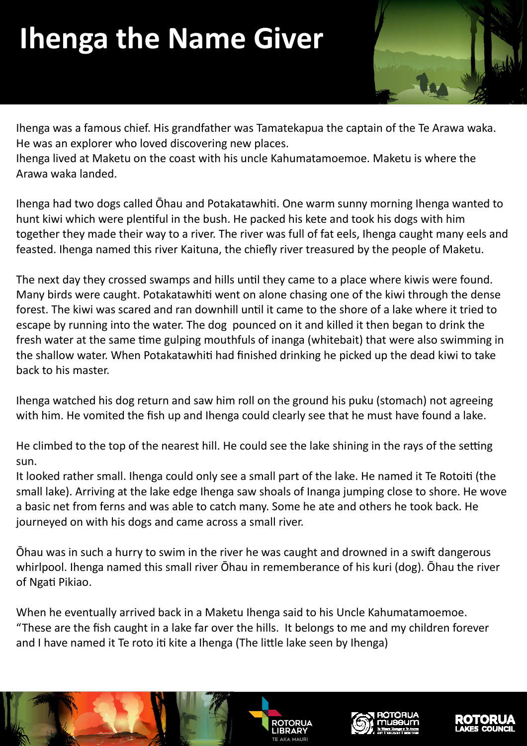## **Ihenga the Name Giver**



Ihenga was a famous chief. His grandfather was Tamatekapua the captain of the Te Arawa waka. He was an explorer who loved discovering new places.

Ihenga lived at Maketu on the coast with his uncle Kahumatamoemoe. Maketu is where the Arawa waka landed.

Ihenga had two dogs called Ohau and Potakatawhiti. One warm sunny morning Ihenga wanted to hunt kiwi which were plentiful in the bush. He packed his kete and took his dogs with him together they made their way to a river. The river was full of fat eels, Ihenga caught many eels and feasted. Ihenga named this river Kaituna, the chiefly river treasured by the people of Maketu.

The next day they crossed swamps and hills until they came to a place where kiwis were found. Many birds were caught. Potakatawhiti went on alone chasing one of the kiwi through the dense forest. The kiwi was scared and ran downhill until it came to the shore of a lake where it tried to escape by running into the water. The dog pounced on it and killed it then began to drink the fresh water at the same time gulping mouthfuls of inanga (whitebait) that were also swimming in the shallow water. When Potakatawhiti had finished drinking he picked up the dead kiwi to take back to his master.

Ihenga watched his dog return and saw him roll on the ground his puku (stomach) not agreeing with him. He vomited the fish up and Ihenga could clearly see that he must have found a lake.

He climbed to the top of the nearest hill. He could see the lake shining in the rays of the setting sun.

It looked rather small. Ihenga could only see a small part of the lake. He named it Te Rotoiti (the small lake). Arriving at the lake edge Ihenga saw shoals of Inanga jumping close to shore. He wove a basic net from ferns and was able to catch many. Some he ate and others he took back. He journeyed on with his dogs and came across a small river.

Ohau was in such a hurry to swim in the river he was caught and drowned in a swift dangerous whirlpool. Ihenga named this small river Ōhau in rememberance of his kuri (dog). Ōhau the river of Ngati Pikiao.

When he eventually arrived back in a Maketu Ihenga said to his Uncle Kahumatamoemoe. "These are the fish caught in a lake far over the hills. It belongs to me and my children forever and I have named it Te roto iti kite a Ihenga (The little lake seen by Ihenga)